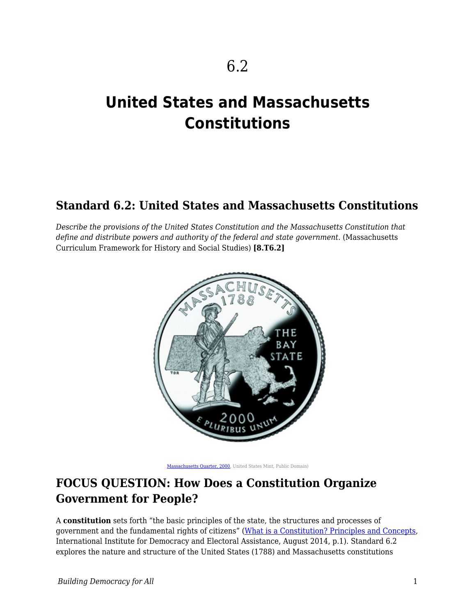# **United States and Massachusetts Constitutions**

## **Standard 6.2: United States and Massachusetts Constitutions**

*Describe the provisions of the United States Constitution and the Massachusetts Constitution that* define and distribute powers and authority of the federal and state government. (Massachusetts Curriculum Framework for History and Social Studies) **[8.T6.2]**



[Massachusetts Quarter, 2000](https://commons.wikimedia.org/w/index.php?sort=relevance&search=state+of+massachusetts&title=Special:Search&profile=advanced&fulltext=1&advancedSearch-current=%7B%7D&ns0=1&ns6=1&ns12=1&ns14=1&ns100=1&ns106=1#/media/File:Massachusetts_quarter,_reverse_side,_2000.jpg), United States Mint, Public Domain)

## **FOCUS QUESTION: How Does a Constitution Organize Government for People?**

A **constitution** sets forth "the basic principles of the state, the structures and processes of government and the fundamental rights of citizens" ([What is a Constitution? Principles and Concepts,](http://constitutionnet.org/sites/default/files/what_is_a_constitution_0.pdf) International Institute for Democracy and Electoral Assistance, August 2014, p.1). Standard 6.2 explores the nature and structure of the United States (1788) and Massachusetts constitutions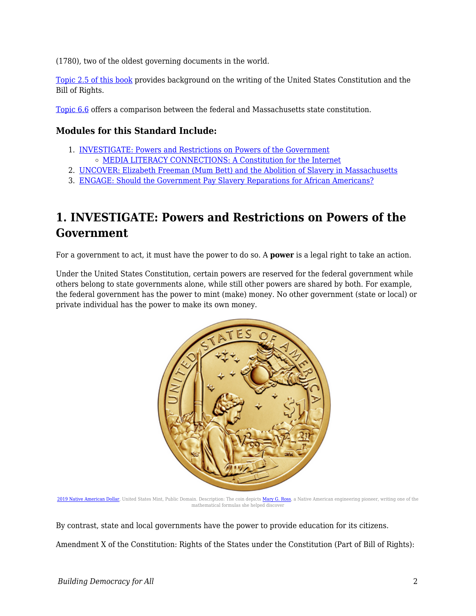(1780), two of the oldest governing documents in the world.

[Topic 2.5 of this book](https://edtechbooks.org/democracy/billofrights) provides background on the writing of the United States Constitution and the Bill of Rights.

[Topic 6.6](https://edtechbooks.org/democracy/massconstitution) offers a comparison between the federal and Massachusetts state constitution.

### **Modules for this Standard Include:**

- 1. [INVESTIGATE: Powers and Restrictions on Powers of the Government](https://edtechbooks.org/democracy/Constitutions#h2_CYUsB) [MEDIA LITERACY CONNECTIONS: A Constitution for the Internet](https://edtechbooks.org/democracy/Constitutions#h3_qnge)
- 2. [UNCOVER: Elizabeth Freeman \(Mum Bett\) and the Abolition of Slavery in Massachusetts](https://edtechbooks.org/democracy/Constitutions#h2_QVpxW)
- 3. [ENGAGE: Should the Government Pay Slavery Reparations for African Americans?](https://edtechbooks.org/democracy/Constitutions#h2_DHdtU)

## **1. INVESTIGATE: Powers and Restrictions on Powers of the Government**

For a government to act, it must have the power to do so. A **power** is a legal right to take an action.

Under the United States Constitution, certain powers are reserved for the federal government while others belong to state governments alone, while still other powers are shared by both. For example, the federal government has the power to mint (make) money. No other government (state or local) or private individual has the power to make its own money.



[2019 Native American Dollar,](https://commons.wikimedia.org/w/index.php?search=2019+Native+American+Dollar&title=Special%3ASearch&go=Go&ns0=1&ns6=1&ns12=1&ns14=1&ns100=1&ns106=1#/media/File:2019_Native_American_Dollar_Reverse.jpg) United States Mint, Public Domain. Description: The coin depicts [Mary G. Ross](https://www.nasa.gov/image-feature/mary-ross-a-hidden-figure), a Native American engineering pioneer, writing one of the mathematical formulas she helped discover

By contrast, state and local governments have the power to provide education for its citizens.

Amendment X of the Constitution: Rights of the States under the Constitution (Part of Bill of Rights):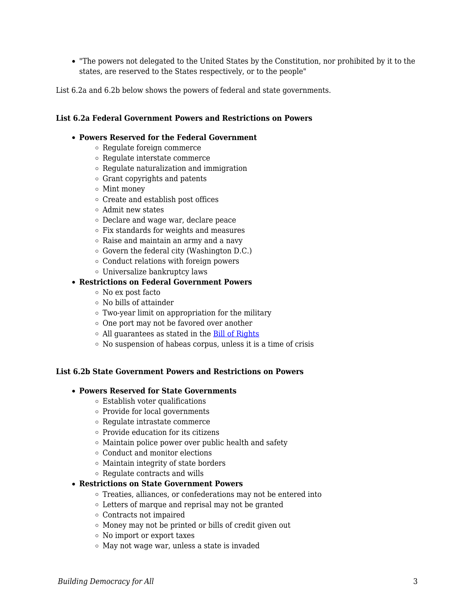"The powers not delegated to the United States by the Constitution, nor prohibited by it to the states, are reserved to the States respectively, or to the people"

List 6.2a and 6.2b below shows the powers of federal and state governments.

#### **List 6.2a Federal Government Powers and Restrictions on Powers**

#### **Powers Reserved for the Federal Government**

- Regulate foreign commerce
- Regulate interstate commerce
- Regulate naturalization and immigration
- Grant copyrights and patents
- Mint money
- Create and establish post offices
- Admit new states
- Declare and wage war, declare peace
- Fix standards for weights and measures
- Raise and maintain an army and a navy
- Govern the federal city (Washington D.C.)
- Conduct relations with foreign powers
- Universalize bankruptcy laws

#### **Restrictions on Federal Government Powers**

- No ex post facto
- No bills of attainder
- Two-year limit on appropriation for the military
- $\circ$  One port may not be favored over another
- o All guarantees as stated in the [Bill of Rights](https://www.archives.gov/founding-docs/bill-of-rights-transcript)
- $\circ$  No suspension of habeas corpus, unless it is a time of crisis

#### **List 6.2b State Government Powers and Restrictions on Powers**

#### **Powers Reserved for State Governments**

- Establish voter qualifications
- Provide for local governments
- Regulate intrastate commerce
- $\circ\,$  Provide education for its citizens
- $\circ$  Maintain police power over public health and safety
- Conduct and monitor elections
- Maintain integrity of state borders
- Regulate contracts and wills

#### **Restrictions on State Government Powers**

- Treaties, alliances, or confederations may not be entered into
- Letters of marque and reprisal may not be granted
- Contracts not impaired
- Money may not be printed or bills of credit given out
- No import or export taxes
- $\circ$  May not wage war, unless a state is invaded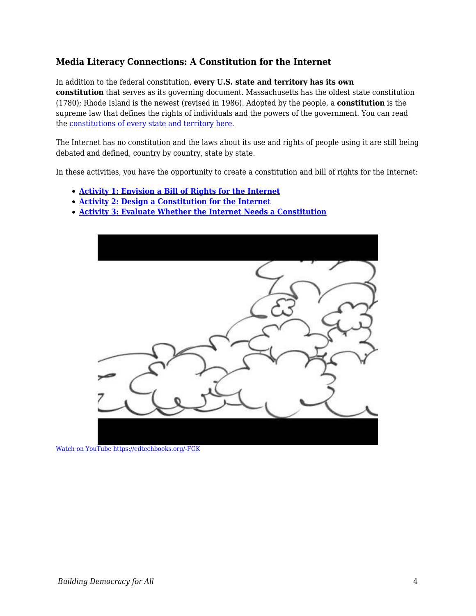## **Media Literacy Connections: A Constitution for the Internet**

In addition to the federal constitution, **every U.S. state and territory has its own constitution** that serves as its governing document. Massachusetts has the oldest state constitution (1780); Rhode Island is the newest (revised in 1986). Adopted by the people, a **constitution** is the supreme law that defines the rights of individuals and the powers of the government. You can read the [constitutions of every state and territory here.](https://ballotpedia.org/State_constitution)

The Internet has no constitution and the laws about its use and rights of people using it are still being debated and defined, country by country, state by state.

In these activities, you have the opportunity to create a constitution and bill of rights for the Internet:

- **[Activity 1: Envision a Bill of Rights for the Internet](https://edtechbooks.org/mediaandciviclearning/internet_constitution)**
- **[Activity 2: Design a Constitution for the Internet](https://edtechbooks.org/mediaandciviclearning/internet_constitution)**
- **[Activity 3: Evaluate Whether the Internet Needs a Constitution](https://edtechbooks.org/mediaandciviclearning/internet_constitution)**



[Watch on YouTube https://edtechbooks.org/-FGK](https://www.youtube.com/embed/0UzKD8rZCc0?autoplay=1&rel=0&showinfo=0&modestbranding=1)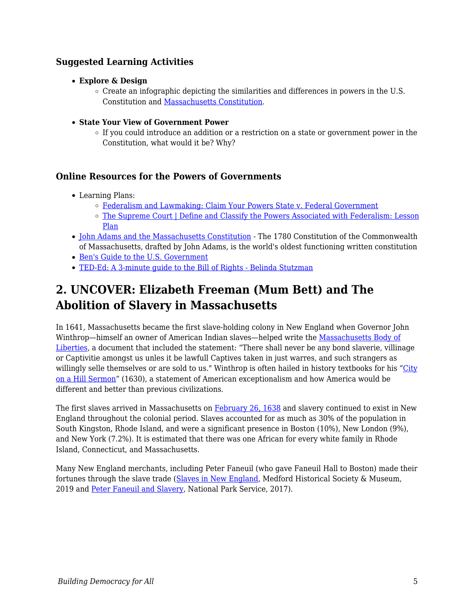## **Suggested Learning Activities**

- **Explore & Design**
	- $\circ$  Create an infographic depicting the similarities and differences in powers in the U.S. Constitution and [Massachusetts Constitution.](https://malegislature.gov/laws/constitution)
- **State Your View of Government Power**
	- If you could introduce an addition or a restriction on a state or government power in the Constitution, what would it be? Why?

### **Online Resources for the Powers of Governments**

- Learning Plans:
	- o [Federalism and Lawmaking: Claim Your Powers State v. Federal Government](https://teachingcivics.org/lesson/federalism-and-lawmaking-claim-your-powers-state-v-federal-government/)
	- [The Supreme Court | Define and Classify the Powers Associated with Federalism: Lesson](https://cptv.pbslearningmedia.org/resource/bf09.socst.us.const.lpfederal/define-and-classify-the-powers-associated-with-federalism/#.Xl_Kv1ZKjBI) [Plan](https://cptv.pbslearningmedia.org/resource/bf09.socst.us.const.lpfederal/define-and-classify-the-powers-associated-with-federalism/#.Xl_Kv1ZKjBI)
- [John Adams and the Massachusetts Constitution](https://www.mass.gov/guides/john-adams-the-massachusetts-constitution) The 1780 Constitution of the Commonwealth of Massachusetts, drafted by John Adams, is the world's oldest functioning written constitution
- [Ben's Guide to the U.S. Government](https://bensguide.gpo.gov)
- [TED-Ed: A 3-minute guide to the Bill of Rights Belinda Stutzman](https://www.youtube.com/watch?v=yYEfLm5dLMQ)

## **2. UNCOVER: Elizabeth Freeman (Mum Bett) and The Abolition of Slavery in Massachusetts**

In 1641, Massachusetts became the first slave-holding colony in New England when Governor John Winthrop—himself an owner of American Indian slaves—helped write the [Massachusetts Body of](https://www.mass.gov/service-details/massachusetts-body-of-liberties) [Liberties,](https://www.mass.gov/service-details/massachusetts-body-of-liberties) a document that included the statement: "There shall never be any bond slaverie, villinage or Captivitie amongst us unles it be lawfull Captives taken in just warres, and such strangers as willingly selle themselves or are sold to us." Winthrop is often hailed in history textbooks for his "[City](https://www.americanyawp.com/reader/colliding-cultures/john-winthrop-dreams-of-a-city-on-a-hill-1630/) [on a Hill Sermon](https://www.americanyawp.com/reader/colliding-cultures/john-winthrop-dreams-of-a-city-on-a-hill-1630/)" (1630), a statement of American exceptionalism and how America would be different and better than previous civilizations.

The first slaves arrived in Massachusetts on [February 26, 1638](https://www.massmoments.org/moment-details/first-slaves-arrive-in-massachusetts.html) and slavery continued to exist in New England throughout the colonial period. Slaves accounted for as much as 30% of the population in South Kingston, Rhode Island, and were a significant presence in Boston (10%), New London (9%), and New York (7.2%). It is estimated that there was one African for every white family in Rhode Island, Connecticut, and Massachusetts.

Many New England merchants, including Peter Faneuil (who gave Faneuil Hall to Boston) made their fortunes through the slave trade ([Slaves in New England](http://www.medfordhistorical.org/medford-history/africa-to-medford/slaves-in-new-england/), Medford Historical Society & Museum, 2019 and [Peter Faneuil and Slavery](https://www.nps.gov/bost/learn/historyculture/peter-faneuil.htm), National Park Service, 2017).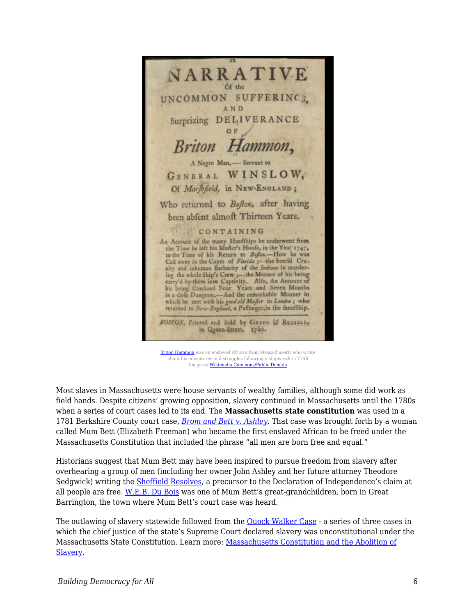

[Briton Hammon](https://www.loc.gov/item/06009041/) was an enslaved African from Massachusetts who wrote about his adventures and struggles following a shipwreck in 1748 Image on [Wikimedia Commons/Public Domain](https://commons.wikimedia.org/wiki/Category:Slavery_in_Massachusetts#/media/File:BritonHammon.png)

Most slaves in Massachusetts were house servants of wealthy families, although some did work as field hands. Despite citizens' growing opposition, slavery continued in Massachusetts until the 1780s when a series of court cases led to its end. The **Massachusetts state constitution** was used in a 1781 Berkshire County court case, *[Brom and Bett v. Ashley](https://www.massmoments.org/moment-details/jury-decides-in-favor-of-elizabeth-mum-bett-freeman.html)*. That case was brought forth by a woman called Mum Bett (Elizabeth Freeman) who became the first enslaved African to be freed under the Massachusetts Constitution that included the phrase "all men are born free and equal."

Historians suggest that Mum Bett may have been inspired to pursue freedom from slavery after overhearing a group of men (including her owner John Ashley and her future attorney Theodore Sedgwick) writing the [Sheffield Resolves](https://theberkshireedge.com/connections-the-resolves-of-sheffield-hotbed-of-insurrection/), a precursor to the Declaration of Independence's claim at all people are free. [W.E.B. Du Bois](https://www.naacp.org/naacp-history-w-e-b-dubois/) was one of Mum Bett's great-grandchildren, born in Great Barrington, the town where Mum Bett's court case was heard.

The outlawing of slavery statewide followed from the [Quock Walker Case](https://www.pbs.org/wgbh/aia/part2/2h38.html) - a series of three cases in which the chief justice of the state's Supreme Court declared slavery was unconstitutional under the Massachusetts State Constitution. Learn more: [Massachusetts Constitution and the Abolition of](https://www.mass.gov/guides/massachusetts-constitution-and-the-abolition-of-slavery) [Slavery](https://www.mass.gov/guides/massachusetts-constitution-and-the-abolition-of-slavery).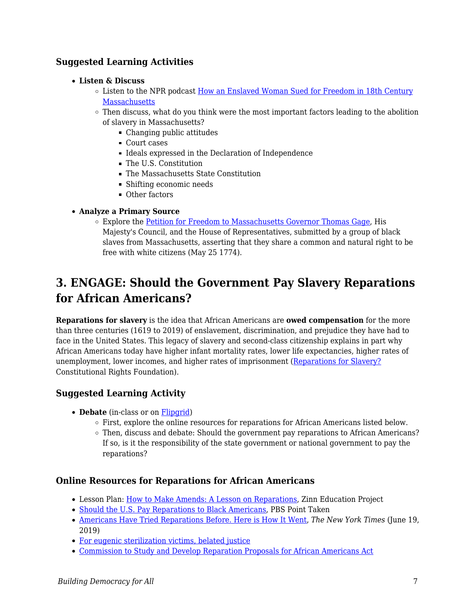## **Suggested Learning Activities**

### **Listen & Discuss**

- Listen to the NPR podcast [How an Enslaved Woman Sued for Freedom in 18th Century](https://www.wnpr.org/post/how-enslaved-woman-sued-her-freedom-18th-century-massachusetts) **[Massachusetts](https://www.wnpr.org/post/how-enslaved-woman-sued-her-freedom-18th-century-massachusetts)**
- $\circ$  Then discuss, what do you think were the most important factors leading to the abolition of slavery in Massachusetts?
	- Changing public attitudes
	- Court cases
	- Ideals expressed in the Declaration of Independence
	- The U.S. Constitution
	- The Massachusetts State Constitution
	- Shifting economic needs
	- Other factors

### **Analyze a Primary Source**

Explore the [Petition for Freedom to Massachusetts Governor Thomas Gage](http://www.masshist.org/database/550), His Majesty's Council, and the House of Representatives, submitted by a group of black slaves from Massachusetts, asserting that they share a common and natural right to be free with white citizens (May 25 1774).

## **3. ENGAGE: Should the Government Pay Slavery Reparations for African Americans?**

**Reparations for slavery** is the idea that African Americans are **owed compensation** for the more than three centuries (1619 to 2019) of enslavement, discrimination, and prejudice they have had to face in the United States. This legacy of slavery and second-class citizenship explains in part why African Americans today have higher infant mortality rates, lower life expectancies, higher rates of unemployment, lower incomes, and higher rates of imprisonment [\(Reparations for Slavery?](https://www.crf-usa.org/brown-v-board-50th-anniversary/reparations-for-slavery-reading.html) Constitutional Rights Foundation).

### **Suggested Learning Activity**

- **Debate** (in-class or on [Flipgrid](http://flipgrid.com/))
	- First, explore the online resources for reparations for African Americans listed below.
	- Then, discuss and debate: Should the government pay reparations to African Americans? If so, is it the responsibility of the state government or national government to pay the reparations?

### **Online Resources for Reparations for African Americans**

- Lesson Plan: [How to Make Amends: A Lesson on Reparations](https://www.zinnedproject.org/materials/lesson-on-reparations/), Zinn Education Project
- [Should the U.S. Pay Reparations to Black Americans](http://www.pbs.org/wgbh/point-taken/should-us-pay-reparations-black-americans/#background), PBS Point Taken
- [Americans Have Tried Reparations Before. Here is How It Went,](https://www.nytimes.com/2019/06/19/us/reparations-slavery.html) *The New York Times* (June 19, 2019)
- [For eugenic sterilization victims, belated justice](http://www.msnbc.com/all/eugenic-sterilization-victims-belated-justice)
- [Commission to Study and Develop Reparation Proposals for African Americans Act](https://www.congress.gov/bill/115th-congress/house-bill/40/text?format=txt)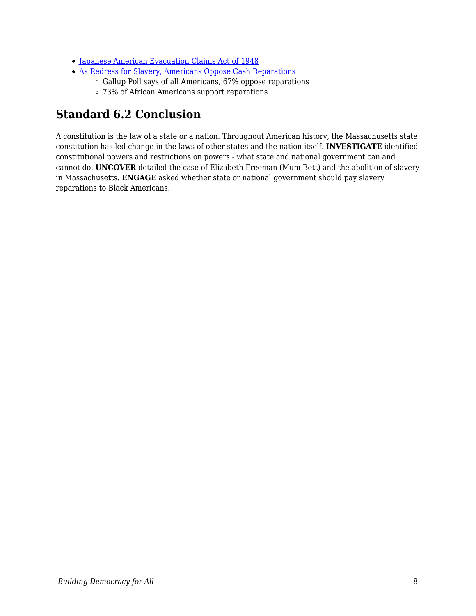- [Japanese American Evacuation Claims Act of 1948](http://encyclopedia.densho.org/Japanese_American_Evacuation_Claims_Act/)
- [As Redress for Slavery, Americans Oppose Cash Reparations](https://news.gallup.com/poll/261722/redress-slavery-americans-oppose-cash-reparations.aspx)
	- $\circ$  Gallup Poll says of all Americans, 67% oppose reparations
	- 73% of African Americans support reparations

## **Standard 6.2 Conclusion**

A constitution is the law of a state or a nation. Throughout American history, the Massachusetts state constitution has led change in the laws of other states and the nation itself. **INVESTIGATE** identified constitutional powers and restrictions on powers - what state and national government can and cannot do. **UNCOVER** detailed the case of Elizabeth Freeman (Mum Bett) and the abolition of slavery in Massachusetts. **ENGAGE** asked whether state or national government should pay slavery reparations to Black Americans.